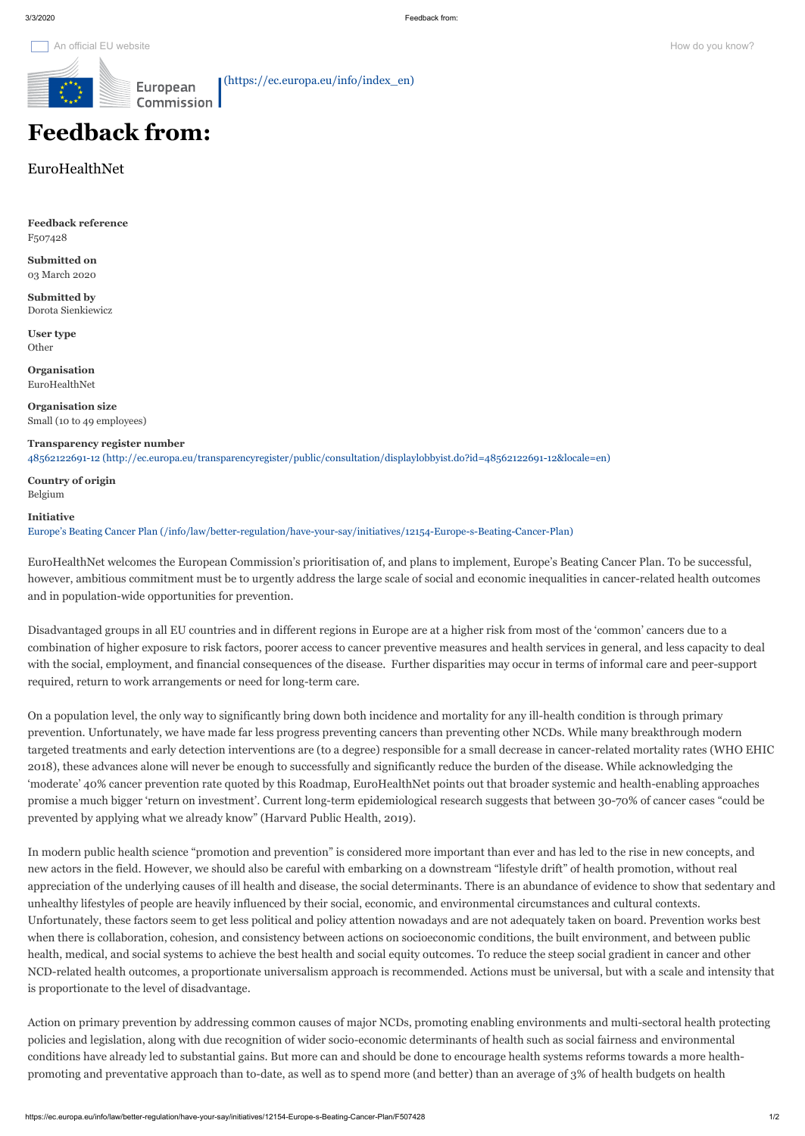**User type Other** 

 [\(https://ec.europa.eu/info/index\\_en\)](https://ec.europa.eu/info/index_en)

**Feedback reference** F507428

**Submitted on** 03 March 2020

**Submitted by** Dorota Sienkiewicz

**Organisation** EuroHealthNet

**Organisation size** Small (10 to 49 employees)

**Transparency register number** [48562122691-12 \(http://ec.europa.eu/transparencyregister/public/consultation/displaylobbyist.do?id=48562122691-12&locale=en\)](http://ec.europa.eu/transparencyregister/public/consultation/displaylobbyist.do?id=48562122691-12&locale=en)

**Country of origin** Belgium

**Initiative**

[Europe's Beating Cancer Plan \(/info/law/better-regulation/have-your-say/initiatives/12154-Europe-s-Beating-Cancer-Plan\)](https://ec.europa.eu/info/law/better-regulation/have-your-say/initiatives/12154-Europe-s-Beating-Cancer-Plan)

EuroHealthNet welcomes the European Commission's prioritisation of, and plans to implement, Europe's Beating Cancer Plan. To be successful, however, ambitious commitment must be to urgently address the large scale of social and economic inequalities in cancer-related health outcomes and in population-wide opportunities for prevention.

Disadvantaged groups in all EU countries and in different regions in Europe are at a higher risk from most of the 'common' cancers due to a combination of higher exposure to risk factors, poorer access to cancer preventive measures and health services in general, and less capacity to deal with the social, employment, and financial consequences of the disease. Further disparities may occur in terms of informal care and peer-support required, return to work arrangements or need for long-term care.

On a population level, the only way to significantly bring down both incidence and mortality for any ill-health condition is through primary prevention. Unfortunately, we have made far less progress preventing cancers than preventing other NCDs. While many breakthrough modern targeted treatments and early detection interventions are (to a degree) responsible for a small decrease in cancer-related mortality rates (WHO EHIC 2018), these advances alone will never be enough to successfully and significantly reduce the burden of the disease. While acknowledging the 'moderate' 40% cancer prevention rate quoted by this Roadmap, EuroHealthNet points out that broader systemic and health-enabling approaches promise a much bigger 'return on investment'. Current long-term epidemiological research suggests that between 30-70% of cancer cases "could be prevented by applying what we already know" (Harvard Public Health, 2019).

In modern public health science "promotion and prevention" is considered more important than ever and has led to the rise in new concepts, and

new actors in the field. However, we should also be careful with embarking on a downstream "lifestyle drift" of health promotion, without real appreciation of the underlying causes of ill health and disease, the social determinants. There is an abundance of evidence to show that sedentary and unhealthy lifestyles of people are heavily influenced by their social, economic, and environmental circumstances and cultural contexts. Unfortunately, these factors seem to get less political and policy attention nowadays and are not adequately taken on board. Prevention works best when there is collaboration, cohesion, and consistency between actions on socioeconomic conditions, the built environment, and between public health, medical, and social systems to achieve the best health and social equity outcomes. To reduce the steep social gradient in cancer and other NCD-related health outcomes, a proportionate universalism approach is recommended. Actions must be universal, but with a scale and intensity that is proportionate to the level of disadvantage.

Action on primary prevention by addressing common causes of major NCDs, promoting enabling environments and multi-sectoral health protecting policies and legislation, along with due recognition of wider socio-economic determinants of health such as social fairness and environmental conditions have already led to substantial gains. But more can and should be done to encourage health systems reforms towards a more healthpromoting and preventative approach than to-date, as well as to spend more (and better) than an average of 3% of health budgets on health

## **Feedback from:**

EuroHealthNet